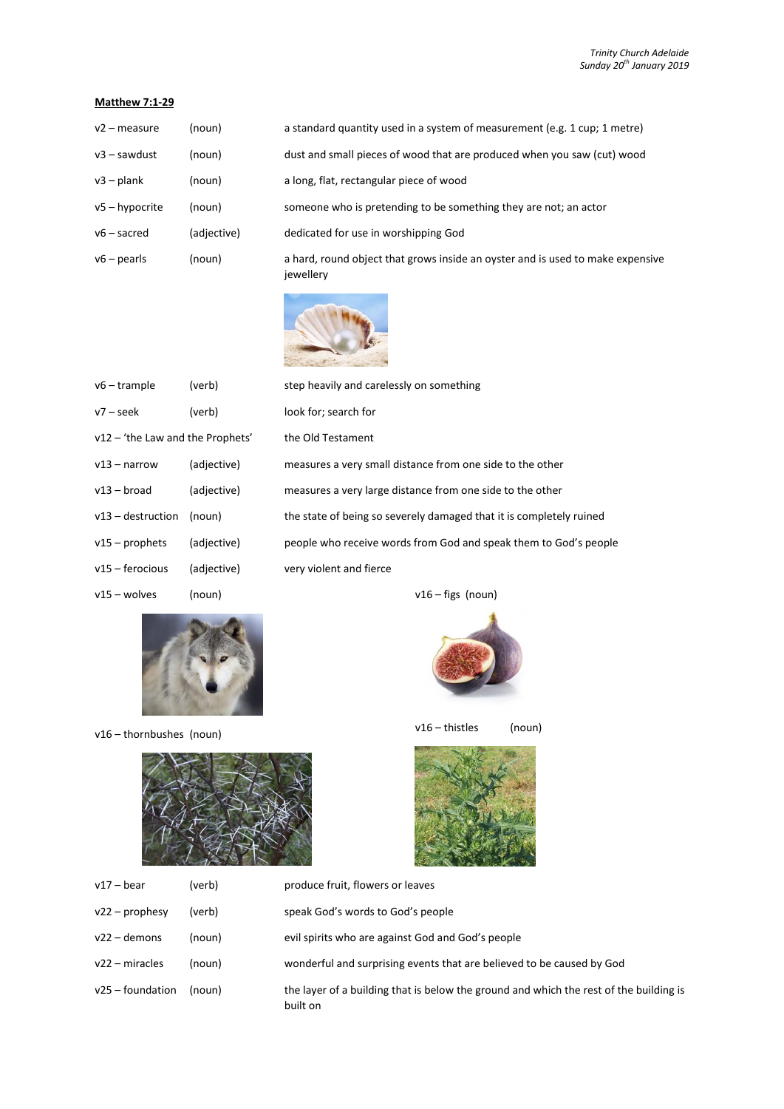## **Matthew 7:1-29**

| $v2$ – measure   | (noun)      | a standard quantity used in a system of measurement (e.g. 1 cup; 1 metre)                   |  |
|------------------|-------------|---------------------------------------------------------------------------------------------|--|
| $v3 - sawdust$   | (noun)      | dust and small pieces of wood that are produced when you saw (cut) wood                     |  |
| $v3$ – plank     | (noun)      | a long, flat, rectangular piece of wood                                                     |  |
| $v5 - hypocrite$ | (noun)      | someone who is pretending to be something they are not; an actor                            |  |
| $v6$ – sacred    | (adjective) | dedicated for use in worshipping God                                                        |  |
| $v6$ – pearls    | (noun)      | a hard, round object that grows inside an oyster and is used to make expensive<br>jewellery |  |



| v6 – trample                     | (verb)      | step heavily and carelessly on something                            |  |
|----------------------------------|-------------|---------------------------------------------------------------------|--|
| v7 – seek                        | (verb)      | look for; search for                                                |  |
| v12 – 'the Law and the Prophets' |             | the Old Testament                                                   |  |
| v13 – narrow                     | (adjective) | measures a very small distance from one side to the other           |  |
| v13 – broad                      | (adjective) | measures a very large distance from one side to the other           |  |
| v13 – destruction                | (noun)      | the state of being so severely damaged that it is completely ruined |  |
| v15 – prophets                   | (adjective) | people who receive words from God and speak them to God's people    |  |
| v15 – ferocious                  | (adjective) | very violent and fierce                                             |  |
| v15 – wolves                     | (noun)      | $v16 - figs$ (noun)                                                 |  |



v16 – thornbushes (noun)



v16 – thistles (noun)



| $v17 - \text{bear}$ | (verb) | produce fruit, flowers or leaves                                                                   |
|---------------------|--------|----------------------------------------------------------------------------------------------------|
| $v22$ – prophesy    | (verb) | speak God's words to God's people                                                                  |
| $v22 -$ demons      | (noun) | evil spirits who are against God and God's people                                                  |
| $v22 - miracles$    | (noun) | wonderful and surprising events that are believed to be caused by God                              |
| $v25 -$ foundation  | (noun) | the layer of a building that is below the ground and which the rest of the building is<br>built on |